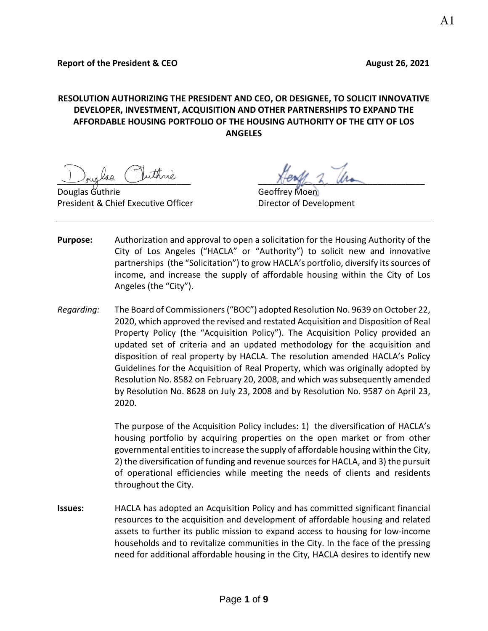# **RESOLUTION AUTHORIZING THE PRESIDENT AND CEO, OR DESIGNEE, TO SOLICIT INNOVATIVE DEVELOPER, INVESTMENT, ACQUISITION AND OTHER PARTNERSHIPS TO EXPAND THE AFFORDABLE HOUSING PORTFOLIO OF THE HOUSING AUTHORITY OF THE CITY OF LOS ANGELES**

Douglas Guthrie Geoffrey Moen President & Chief Executive Officer **Director of Development** 

buglad runnie Hength L. Ma

- **Purpose:** Authorization and approval to open a solicitation for the Housing Authority of the City of Los Angeles ("HACLA" or "Authority") to solicit new and innovative partnerships (the "Solicitation") to grow HACLA's portfolio, diversify its sources of income, and increase the supply of affordable housing within the City of Los Angeles (the "City").
- *Regarding:* The Board of Commissioners ("BOC") adopted Resolution No. 9639 on October 22, 2020, which approved the revised and restated Acquisition and Disposition of Real Property Policy (the "Acquisition Policy"). The Acquisition Policy provided an updated set of criteria and an updated methodology for the acquisition and disposition of real property by HACLA. The resolution amended HACLA's Policy Guidelines for the Acquisition of Real Property, which was originally adopted by Resolution No. 8582 on February 20, 2008, and which was subsequently amended by Resolution No. 8628 on July 23, 2008 and by Resolution No. 9587 on April 23, 2020.

The purpose of the Acquisition Policy includes: 1) the diversification of HACLA's housing portfolio by acquiring properties on the open market or from other governmental entities to increase the supply of affordable housing within the City, 2) the diversification of funding and revenue sources for HACLA, and 3) the pursuit of operational efficiencies while meeting the needs of clients and residents throughout the City.

**Issues:** HACLA has adopted an Acquisition Policy and has committed significant financial resources to the acquisition and development of affordable housing and related assets to further its public mission to expand access to housing for low-income households and to revitalize communities in the City. In the face of the pressing need for additional affordable housing in the City, HACLA desires to identify new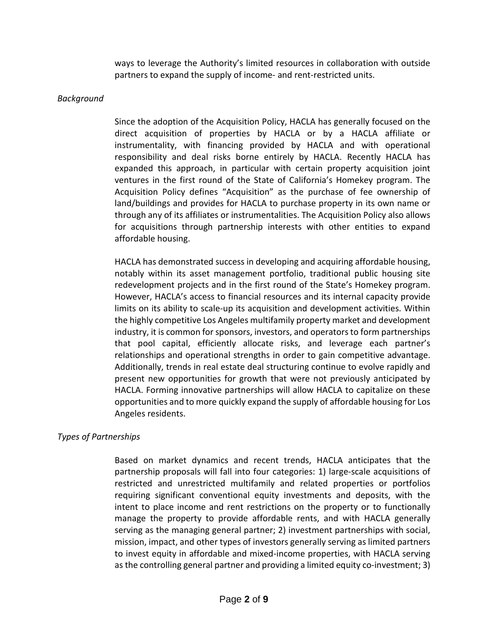ways to leverage the Authority's limited resources in collaboration with outside partners to expand the supply of income- and rent-restricted units.

### *Background*

Since the adoption of the Acquisition Policy, HACLA has generally focused on the direct acquisition of properties by HACLA or by a HACLA affiliate or instrumentality, with financing provided by HACLA and with operational responsibility and deal risks borne entirely by HACLA. Recently HACLA has expanded this approach, in particular with certain property acquisition joint ventures in the first round of the State of California's Homekey program. The Acquisition Policy defines "Acquisition" as the purchase of fee ownership of land/buildings and provides for HACLA to purchase property in its own name or through any of its affiliates or instrumentalities. The Acquisition Policy also allows for acquisitions through partnership interests with other entities to expand affordable housing.

HACLA has demonstrated success in developing and acquiring affordable housing, notably within its asset management portfolio, traditional public housing site redevelopment projects and in the first round of the State's Homekey program. However, HACLA's access to financial resources and its internal capacity provide limits on its ability to scale-up its acquisition and development activities. Within the highly competitive Los Angeles multifamily property market and development industry, it is common for sponsors, investors, and operators to form partnerships that pool capital, efficiently allocate risks, and leverage each partner's relationships and operational strengths in order to gain competitive advantage. Additionally, trends in real estate deal structuring continue to evolve rapidly and present new opportunities for growth that were not previously anticipated by HACLA. Forming innovative partnerships will allow HACLA to capitalize on these opportunities and to more quickly expand the supply of affordable housing for Los Angeles residents.

## *Types of Partnerships*

Based on market dynamics and recent trends, HACLA anticipates that the partnership proposals will fall into four categories: 1) large-scale acquisitions of restricted and unrestricted multifamily and related properties or portfolios requiring significant conventional equity investments and deposits, with the intent to place income and rent restrictions on the property or to functionally manage the property to provide affordable rents, and with HACLA generally serving as the managing general partner; 2) investment partnerships with social, mission, impact, and other types of investors generally serving as limited partners to invest equity in affordable and mixed-income properties, with HACLA serving as the controlling general partner and providing a limited equity co-investment; 3)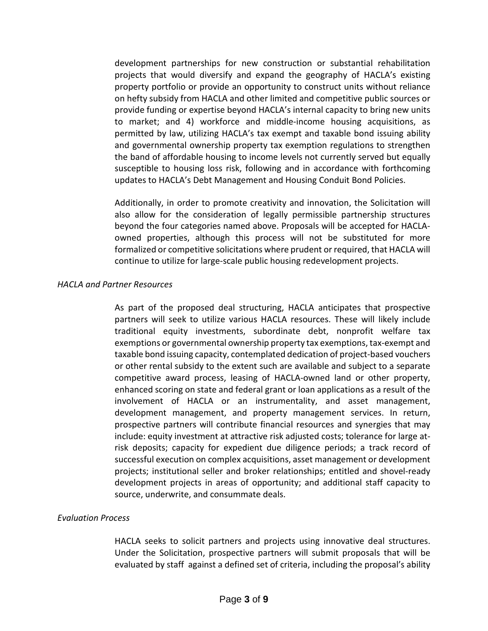development partnerships for new construction or substantial rehabilitation projects that would diversify and expand the geography of HACLA's existing property portfolio or provide an opportunity to construct units without reliance on hefty subsidy from HACLA and other limited and competitive public sources or provide funding or expertise beyond HACLA's internal capacity to bring new units to market; and 4) workforce and middle-income housing acquisitions, as permitted by law, utilizing HACLA's tax exempt and taxable bond issuing ability and governmental ownership property tax exemption regulations to strengthen the band of affordable housing to income levels not currently served but equally susceptible to housing loss risk, following and in accordance with forthcoming updates to HACLA's Debt Management and Housing Conduit Bond Policies.

Additionally, in order to promote creativity and innovation, the Solicitation will also allow for the consideration of legally permissible partnership structures beyond the four categories named above. Proposals will be accepted for HACLAowned properties, although this process will not be substituted for more formalized or competitive solicitations where prudent or required, that HACLA will continue to utilize for large-scale public housing redevelopment projects.

## *HACLA and Partner Resources*

As part of the proposed deal structuring, HACLA anticipates that prospective partners will seek to utilize various HACLA resources. These will likely include traditional equity investments, subordinate debt, nonprofit welfare tax exemptions or governmental ownership property tax exemptions, tax-exempt and taxable bond issuing capacity, contemplated dedication of project-based vouchers or other rental subsidy to the extent such are available and subject to a separate competitive award process, leasing of HACLA-owned land or other property, enhanced scoring on state and federal grant or loan applications as a result of the involvement of HACLA or an instrumentality, and asset management, development management, and property management services. In return, prospective partners will contribute financial resources and synergies that may include: equity investment at attractive risk adjusted costs; tolerance for large atrisk deposits; capacity for expedient due diligence periods; a track record of successful execution on complex acquisitions, asset management or development projects; institutional seller and broker relationships; entitled and shovel-ready development projects in areas of opportunity; and additional staff capacity to source, underwrite, and consummate deals.

#### *Evaluation Process*

HACLA seeks to solicit partners and projects using innovative deal structures. Under the Solicitation, prospective partners will submit proposals that will be evaluated by staff against a defined set of criteria, including the proposal's ability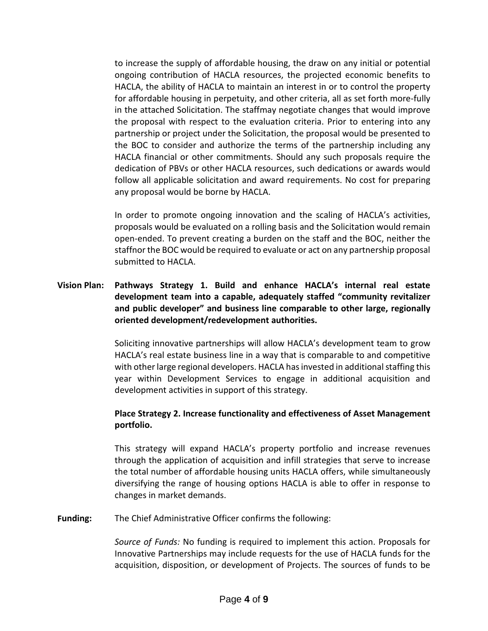to increase the supply of affordable housing, the draw on any initial or potential ongoing contribution of HACLA resources, the projected economic benefits to HACLA, the ability of HACLA to maintain an interest in or to control the property for affordable housing in perpetuity, and other criteria, all as set forth more-fully in the attached Solicitation. The staffmay negotiate changes that would improve the proposal with respect to the evaluation criteria. Prior to entering into any partnership or project under the Solicitation, the proposal would be presented to the BOC to consider and authorize the terms of the partnership including any HACLA financial or other commitments. Should any such proposals require the dedication of PBVs or other HACLA resources, such dedications or awards would follow all applicable solicitation and award requirements. No cost for preparing any proposal would be borne by HACLA.

In order to promote ongoing innovation and the scaling of HACLA's activities, proposals would be evaluated on a rolling basis and the Solicitation would remain open-ended. To prevent creating a burden on the staff and the BOC, neither the staffnor the BOC would be required to evaluate or act on any partnership proposal submitted to HACLA.

# **Vision Plan: Pathways Strategy 1. Build and enhance HACLA's internal real estate development team into a capable, adequately staffed "community revitalizer and public developer" and business line comparable to other large, regionally oriented development/redevelopment authorities.**

Soliciting innovative partnerships will allow HACLA's development team to grow HACLA's real estate business line in a way that is comparable to and competitive with other large regional developers. HACLA has invested in additional staffing this year within Development Services to engage in additional acquisition and development activities in support of this strategy.

# **Place Strategy 2. Increase functionality and effectiveness of Asset Management portfolio.**

This strategy will expand HACLA's property portfolio and increase revenues through the application of acquisition and infill strategies that serve to increase the total number of affordable housing units HACLA offers, while simultaneously diversifying the range of housing options HACLA is able to offer in response to changes in market demands.

**Funding:** The Chief Administrative Officer confirms the following:

*Source of Funds:* No funding is required to implement this action. Proposals for Innovative Partnerships may include requests for the use of HACLA funds for the acquisition, disposition, or development of Projects. The sources of funds to be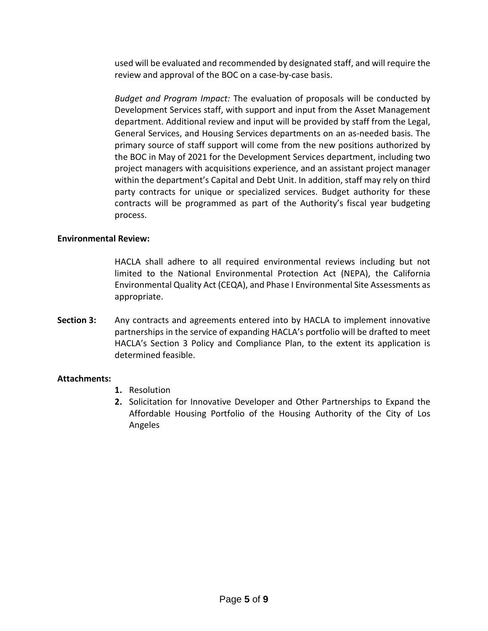used will be evaluated and recommended by designated staff, and will require the review and approval of the BOC on a case-by-case basis.

*Budget and Program Impact:* The evaluation of proposals will be conducted by Development Services staff, with support and input from the Asset Management department. Additional review and input will be provided by staff from the Legal, General Services, and Housing Services departments on an as-needed basis. The primary source of staff support will come from the new positions authorized by the BOC in May of 2021 for the Development Services department, including two project managers with acquisitions experience, and an assistant project manager within the department's Capital and Debt Unit. In addition, staff may rely on third party contracts for unique or specialized services. Budget authority for these contracts will be programmed as part of the Authority's fiscal year budgeting process.

## **Environmental Review:**

HACLA shall adhere to all required environmental reviews including but not limited to the National Environmental Protection Act (NEPA), the California Environmental Quality Act (CEQA), and Phase I Environmental Site Assessments as appropriate.

**Section 3:** Any contracts and agreements entered into by HACLA to implement innovative partnerships in the service of expanding HACLA's portfolio will be drafted to meet HACLA's Section 3 Policy and Compliance Plan, to the extent its application is determined feasible.

## **Attachments:**

- **1.** Resolution
- **2.** Solicitation for Innovative Developer and Other Partnerships to Expand the Affordable Housing Portfolio of the Housing Authority of the City of Los Angeles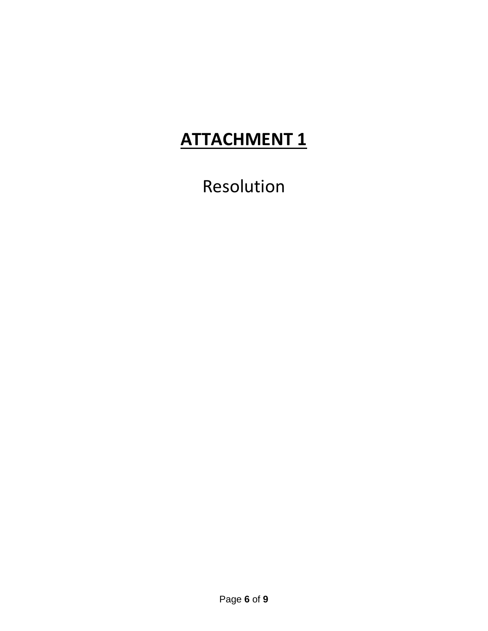# **ATTACHMENT 1**

Resolution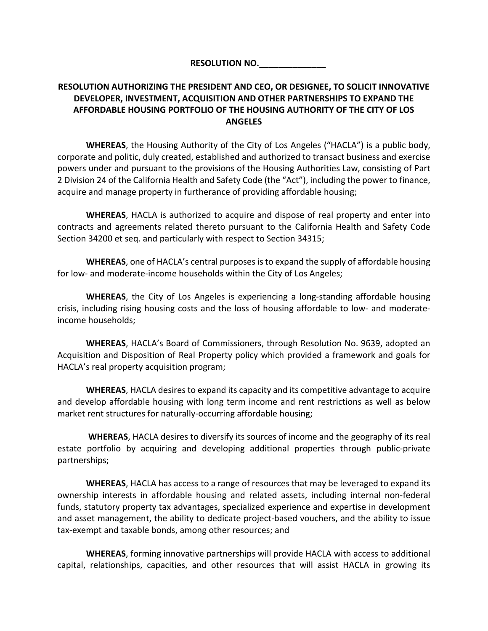**RESOLUTION NO.\_\_\_\_\_\_\_\_\_\_\_\_\_\_**

# **RESOLUTION AUTHORIZING THE PRESIDENT AND CEO, OR DESIGNEE, TO SOLICIT INNOVATIVE DEVELOPER, INVESTMENT, ACQUISITION AND OTHER PARTNERSHIPS TO EXPAND THE AFFORDABLE HOUSING PORTFOLIO OF THE HOUSING AUTHORITY OF THE CITY OF LOS ANGELES**

**WHEREAS**, the Housing Authority of the City of Los Angeles ("HACLA") is a public body, corporate and politic, duly created, established and authorized to transact business and exercise powers under and pursuant to the provisions of the Housing Authorities Law, consisting of Part 2 Division 24 of the California Health and Safety Code (the "Act"), including the power to finance, acquire and manage property in furtherance of providing affordable housing;

**WHEREAS**, HACLA is authorized to acquire and dispose of real property and enter into contracts and agreements related thereto pursuant to the California Health and Safety Code Section 34200 et seq. and particularly with respect to Section 34315;

**WHEREAS**, one of HACLA's central purposes is to expand the supply of affordable housing for low- and moderate-income households within the City of Los Angeles;

**WHEREAS**, the City of Los Angeles is experiencing a long-standing affordable housing crisis, including rising housing costs and the loss of housing affordable to low- and moderateincome households;

**WHEREAS**, HACLA's Board of Commissioners, through Resolution No. 9639, adopted an Acquisition and Disposition of Real Property policy which provided a framework and goals for HACLA's real property acquisition program;

**WHEREAS**, HACLA desires to expand its capacity and its competitive advantage to acquire and develop affordable housing with long term income and rent restrictions as well as below market rent structures for naturally-occurring affordable housing;

**WHEREAS**, HACLA desires to diversify its sources of income and the geography of its real estate portfolio by acquiring and developing additional properties through public-private partnerships;

**WHEREAS**, HACLA has access to a range of resources that may be leveraged to expand its ownership interests in affordable housing and related assets, including internal non-federal funds, statutory property tax advantages, specialized experience and expertise in development and asset management, the ability to dedicate project-based vouchers, and the ability to issue tax-exempt and taxable bonds, among other resources; and

**WHEREAS**, forming innovative partnerships will provide HACLA with access to additional capital, relationships, capacities, and other resources that will assist HACLA in growing its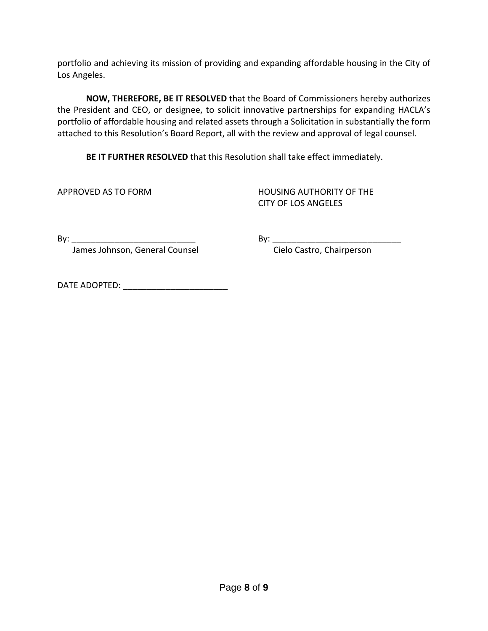portfolio and achieving its mission of providing and expanding affordable housing in the City of Los Angeles.

**NOW, THEREFORE, BE IT RESOLVED** that the Board of Commissioners hereby authorizes the President and CEO, or designee, to solicit innovative partnerships for expanding HACLA's portfolio of affordable housing and related assets through a Solicitation in substantially the form attached to this Resolution's Board Report, all with the review and approval of legal counsel.

**BE IT FURTHER RESOLVED** that this Resolution shall take effect immediately.

APPROVED AS TO FORM HOUSING AUTHORITY OF THE CITY OF LOS ANGELES

James Johnson, General Counsel **Constanding Communist Cielo Castro, Chairperson** 

By: \_\_\_\_\_\_\_\_\_\_\_\_\_\_\_\_\_\_\_\_\_\_\_\_\_\_ By: \_\_\_\_\_\_\_\_\_\_\_\_\_\_\_\_\_\_\_\_\_\_\_\_\_\_\_

DATE ADOPTED:  $\blacksquare$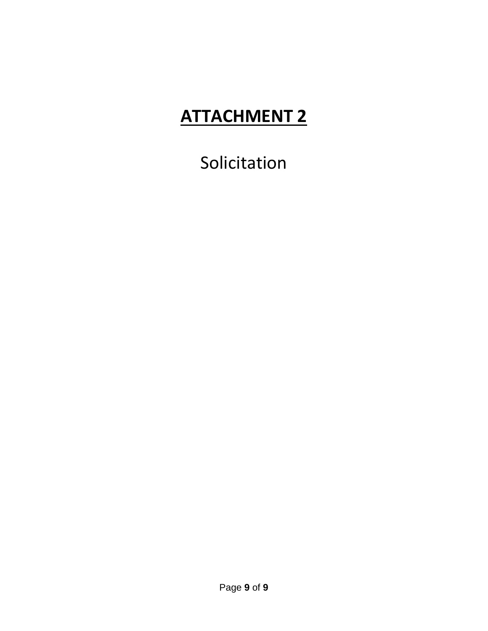# **ATTACHMENT 2**

Solicitation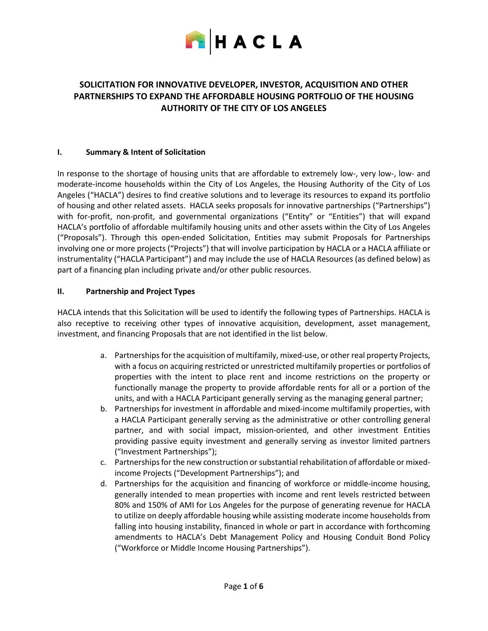

# **SOLICITATION FOR INNOVATIVE DEVELOPER, INVESTOR, ACQUISITION AND OTHER PARTNERSHIPS TO EXPAND THE AFFORDABLE HOUSING PORTFOLIO OF THE HOUSING AUTHORITY OF THE CITY OF LOS ANGELES**

#### **I. Summary & Intent of Solicitation**

In response to the shortage of housing units that are affordable to extremely low-, very low-, low- and moderate-income households within the City of Los Angeles, the Housing Authority of the City of Los Angeles ("HACLA") desires to find creative solutions and to leverage its resources to expand its portfolio of housing and other related assets. HACLA seeks proposals for innovative partnerships ("Partnerships") with for-profit, non-profit, and governmental organizations ("Entity" or "Entities") that will expand HACLA's portfolio of affordable multifamily housing units and other assets within the City of Los Angeles ("Proposals"). Through this open-ended Solicitation, Entities may submit Proposals for Partnerships involving one or more projects ("Projects") that will involve participation by HACLA or a HACLA affiliate or instrumentality ("HACLA Participant") and may include the use of HACLA Resources (as defined below) as part of a financing plan including private and/or other public resources.

#### **II. Partnership and Project Types**

HACLA intends that this Solicitation will be used to identify the following types of Partnerships. HACLA is also receptive to receiving other types of innovative acquisition, development, asset management, investment, and financing Proposals that are not identified in the list below.

- a. Partnerships for the acquisition of multifamily, mixed-use, or other real property Projects, with a focus on acquiring restricted or unrestricted multifamily properties or portfolios of properties with the intent to place rent and income restrictions on the property or functionally manage the property to provide affordable rents for all or a portion of the units, and with a HACLA Participant generally serving as the managing general partner;
- b. Partnerships for investment in affordable and mixed-income multifamily properties, with a HACLA Participant generally serving as the administrative or other controlling general partner, and with social impact, mission-oriented, and other investment Entities providing passive equity investment and generally serving as investor limited partners ("Investment Partnerships");
- c. Partnerships for the new construction or substantial rehabilitation of affordable or mixedincome Projects ("Development Partnerships"); and
- d. Partnerships for the acquisition and financing of workforce or middle-income housing, generally intended to mean properties with income and rent levels restricted between 80% and 150% of AMI for Los Angeles for the purpose of generating revenue for HACLA to utilize on deeply affordable housing while assisting moderate income households from falling into housing instability, financed in whole or part in accordance with forthcoming amendments to HACLA's Debt Management Policy and Housing Conduit Bond Policy ("Workforce or Middle Income Housing Partnerships").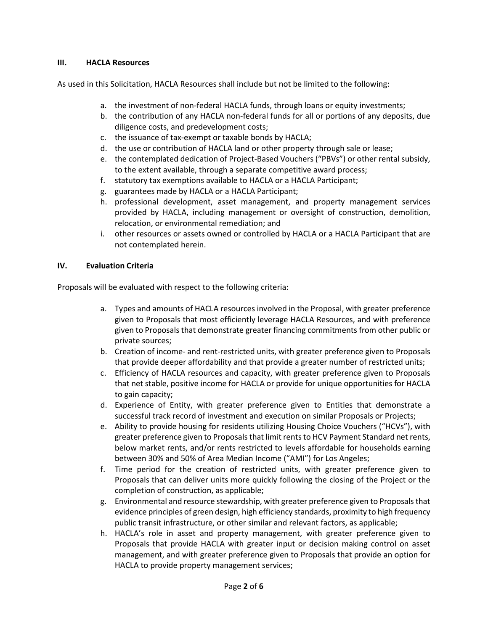### **III. HACLA Resources**

As used in this Solicitation, HACLA Resources shall include but not be limited to the following:

- a. the investment of non-federal HACLA funds, through loans or equity investments;
- b. the contribution of any HACLA non-federal funds for all or portions of any deposits, due diligence costs, and predevelopment costs;
- c. the issuance of tax-exempt or taxable bonds by HACLA;
- d. the use or contribution of HACLA land or other property through sale or lease;
- e. the contemplated dedication of Project-Based Vouchers ("PBVs") or other rental subsidy, to the extent available, through a separate competitive award process;
- f. statutory tax exemptions available to HACLA or a HACLA Participant;
- g. guarantees made by HACLA or a HACLA Participant;
- h. professional development, asset management, and property management services provided by HACLA, including management or oversight of construction, demolition, relocation, or environmental remediation; and
- i. other resources or assets owned or controlled by HACLA or a HACLA Participant that are not contemplated herein.

#### **IV. Evaluation Criteria**

Proposals will be evaluated with respect to the following criteria:

- a. Types and amounts of HACLA resources involved in the Proposal, with greater preference given to Proposals that most efficiently leverage HACLA Resources, and with preference given to Proposals that demonstrate greater financing commitments from other public or private sources;
- b. Creation of income- and rent-restricted units, with greater preference given to Proposals that provide deeper affordability and that provide a greater number of restricted units;
- c. Efficiency of HACLA resources and capacity, with greater preference given to Proposals that net stable, positive income for HACLA or provide for unique opportunities for HACLA to gain capacity;
- d. Experience of Entity, with greater preference given to Entities that demonstrate a successful track record of investment and execution on similar Proposals or Projects;
- e. Ability to provide housing for residents utilizing Housing Choice Vouchers ("HCVs"), with greater preference given to Proposals that limit rents to HCV Payment Standard net rents, below market rents, and/or rents restricted to levels affordable for households earning between 30% and 50% of Area Median Income ("AMI") for Los Angeles;
- f. Time period for the creation of restricted units, with greater preference given to Proposals that can deliver units more quickly following the closing of the Project or the completion of construction, as applicable;
- g. Environmental and resource stewardship, with greater preference given to Proposals that evidence principles of green design, high efficiency standards, proximity to high frequency public transit infrastructure, or other similar and relevant factors, as applicable;
- h. HACLA's role in asset and property management, with greater preference given to Proposals that provide HACLA with greater input or decision making control on asset management, and with greater preference given to Proposals that provide an option for HACLA to provide property management services;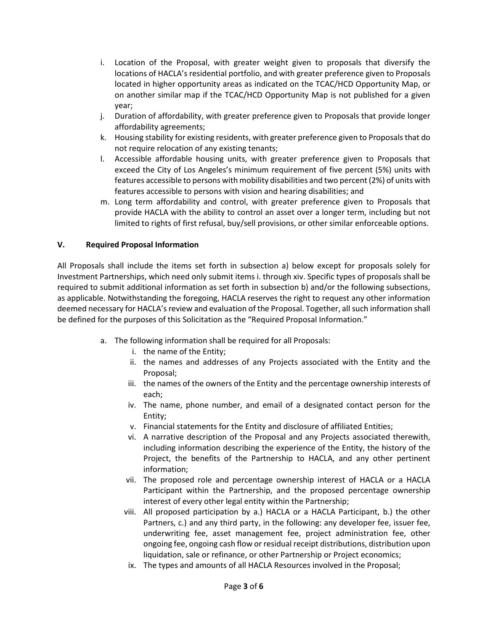- i. Location of the Proposal, with greater weight given to proposals that diversify the locations of HACLA's residential portfolio, and with greater preference given to Proposals located in higher opportunity areas as indicated on the TCAC/HCD Opportunity Map, or on another similar map if the TCAC/HCD Opportunity Map is not published for a given year;
- j. Duration of affordability, with greater preference given to Proposals that provide longer affordability agreements;
- k. Housing stability for existing residents, with greater preference given to Proposals that do not require relocation of any existing tenants;
- l. Accessible affordable housing units, with greater preference given to Proposals that exceed the City of Los Angeles's minimum requirement of five percent (5%) units with features accessible to persons with mobility disabilities and two percent (2%) of units with features accessible to persons with vision and hearing disabilities; and
- m. Long term affordability and control, with greater preference given to Proposals that provide HACLA with the ability to control an asset over a longer term, including but not limited to rights of first refusal, buy/sell provisions, or other similar enforceable options.

## **V. Required Proposal Information**

All Proposals shall include the items set forth in subsection a) below except for proposals solely for Investment Partnerships, which need only submit items i. through xiv. Specific types of proposals shall be required to submit additional information as set forth in subsection b) and/or the following subsections, as applicable. Notwithstanding the foregoing, HACLA reserves the right to request any other information deemed necessary for HACLA's review and evaluation of the Proposal. Together, all such information shall be defined for the purposes of this Solicitation as the "Required Proposal Information."

- a. The following information shall be required for all Proposals:
	- i. the name of the Entity;
	- ii. the names and addresses of any Projects associated with the Entity and the Proposal;
	- iii. the names of the owners of the Entity and the percentage ownership interests of each;
	- iv. The name, phone number, and email of a designated contact person for the Entity;
	- v. Financial statements for the Entity and disclosure of affiliated Entities;
	- vi. A narrative description of the Proposal and any Projects associated therewith, including information describing the experience of the Entity, the history of the Project, the benefits of the Partnership to HACLA, and any other pertinent information;
	- vii. The proposed role and percentage ownership interest of HACLA or a HACLA Participant within the Partnership, and the proposed percentage ownership interest of every other legal entity within the Partnership;
	- viii. All proposed participation by a.) HACLA or a HACLA Participant, b.) the other Partners, c.) and any third party, in the following: any developer fee, issuer fee, underwriting fee, asset management fee, project administration fee, other ongoing fee, ongoing cash flow or residual receipt distributions, distribution upon liquidation, sale or refinance, or other Partnership or Project economics;
	- ix. The types and amounts of all HACLA Resources involved in the Proposal;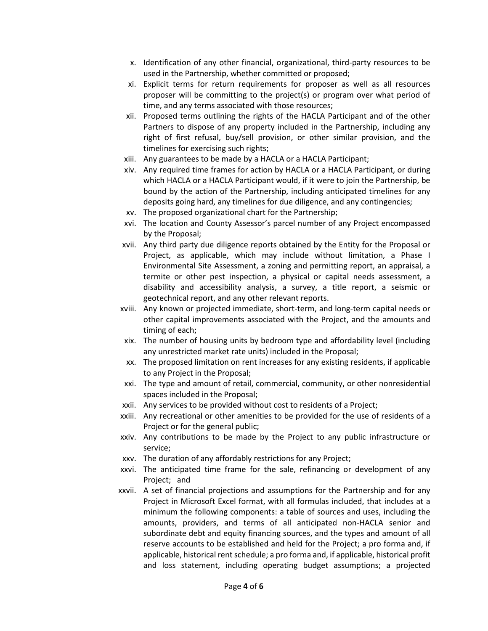- x. Identification of any other financial, organizational, third-party resources to be used in the Partnership, whether committed or proposed;
- xi. Explicit terms for return requirements for proposer as well as all resources proposer will be committing to the project(s) or program over what period of time, and any terms associated with those resources;
- xii. Proposed terms outlining the rights of the HACLA Participant and of the other Partners to dispose of any property included in the Partnership, including any right of first refusal, buy/sell provision, or other similar provision, and the timelines for exercising such rights;
- xiii. Any guarantees to be made by a HACLA or a HACLA Participant;
- xiv. Any required time frames for action by HACLA or a HACLA Participant, or during which HACLA or a HACLA Participant would, if it were to join the Partnership, be bound by the action of the Partnership, including anticipated timelines for any deposits going hard, any timelines for due diligence, and any contingencies;
- xv. The proposed organizational chart for the Partnership;
- xvi. The location and County Assessor's parcel number of any Project encompassed by the Proposal;
- xvii. Any third party due diligence reports obtained by the Entity for the Proposal or Project, as applicable, which may include without limitation, a Phase I Environmental Site Assessment, a zoning and permitting report, an appraisal, a termite or other pest inspection, a physical or capital needs assessment, a disability and accessibility analysis, a survey, a title report, a seismic or geotechnical report, and any other relevant reports.
- xviii. Any known or projected immediate, short-term, and long-term capital needs or other capital improvements associated with the Project, and the amounts and timing of each;
- xix. The number of housing units by bedroom type and affordability level (including any unrestricted market rate units) included in the Proposal;
- xx. The proposed limitation on rent increases for any existing residents, if applicable to any Project in the Proposal;
- xxi. The type and amount of retail, commercial, community, or other nonresidential spaces included in the Proposal;
- xxii. Any services to be provided without cost to residents of a Project;
- xxiii. Any recreational or other amenities to be provided for the use of residents of a Project or for the general public;
- xxiv. Any contributions to be made by the Project to any public infrastructure or service;
- xxv. The duration of any affordably restrictions for any Project;
- xxvi. The anticipated time frame for the sale, refinancing or development of any Project; and
- xxvii. A set of financial projections and assumptions for the Partnership and for any Project in Microsoft Excel format, with all formulas included, that includes at a minimum the following components: a table of sources and uses, including the amounts, providers, and terms of all anticipated non-HACLA senior and subordinate debt and equity financing sources, and the types and amount of all reserve accounts to be established and held for the Project; a pro forma and, if applicable, historical rent schedule; a pro forma and, if applicable, historical profit and loss statement, including operating budget assumptions; a projected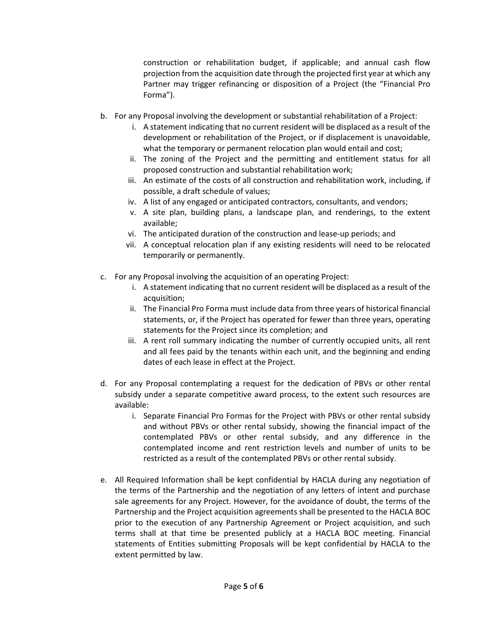construction or rehabilitation budget, if applicable; and annual cash flow projection from the acquisition date through the projected first year at which any Partner may trigger refinancing or disposition of a Project (the "Financial Pro Forma").

- b. For any Proposal involving the development or substantial rehabilitation of a Project:
	- i. A statement indicating that no current resident will be displaced as a result of the development or rehabilitation of the Project, or if displacement is unavoidable, what the temporary or permanent relocation plan would entail and cost;
	- ii. The zoning of the Project and the permitting and entitlement status for all proposed construction and substantial rehabilitation work;
	- iii. An estimate of the costs of all construction and rehabilitation work, including, if possible, a draft schedule of values;
	- iv. A list of any engaged or anticipated contractors, consultants, and vendors;
	- v. A site plan, building plans, a landscape plan, and renderings, to the extent available;
	- vi. The anticipated duration of the construction and lease-up periods; and
	- vii. A conceptual relocation plan if any existing residents will need to be relocated temporarily or permanently.
- c. For any Proposal involving the acquisition of an operating Project:
	- i. A statement indicating that no current resident will be displaced as a result of the acquisition;
	- ii. The Financial Pro Forma must include data from three years of historical financial statements, or, if the Project has operated for fewer than three years, operating statements for the Project since its completion; and
	- iii. A rent roll summary indicating the number of currently occupied units, all rent and all fees paid by the tenants within each unit, and the beginning and ending dates of each lease in effect at the Project.
- d. For any Proposal contemplating a request for the dedication of PBVs or other rental subsidy under a separate competitive award process, to the extent such resources are available:
	- i. Separate Financial Pro Formas for the Project with PBVs or other rental subsidy and without PBVs or other rental subsidy, showing the financial impact of the contemplated PBVs or other rental subsidy, and any difference in the contemplated income and rent restriction levels and number of units to be restricted as a result of the contemplated PBVs or other rental subsidy.
- e. All Required Information shall be kept confidential by HACLA during any negotiation of the terms of the Partnership and the negotiation of any letters of intent and purchase sale agreements for any Project. However, for the avoidance of doubt, the terms of the Partnership and the Project acquisition agreements shall be presented to the HACLA BOC prior to the execution of any Partnership Agreement or Project acquisition, and such terms shall at that time be presented publicly at a HACLA BOC meeting. Financial statements of Entities submitting Proposals will be kept confidential by HACLA to the extent permitted by law.